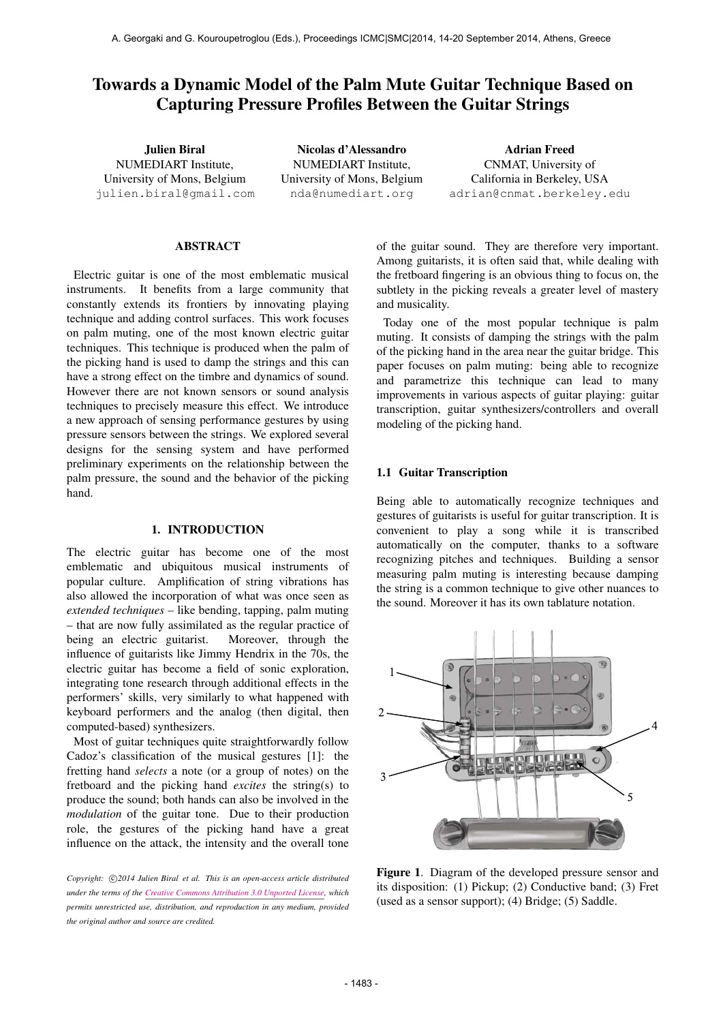# Towards a Dynamic Model of the Palm Mute Guitar Technique Based on Capturing Pressure Profiles Between the Guitar Strings

Julien Biral NUMEDIART Institute, University of Mons, Belgium [julien.biral@gmail.com](mailto:julien.biral@gmail.com)

Nicolas d'Alessandro NUMEDIART Institute, University of Mons, Belgium [nda@numediart.org](mailto:nda@numediart.org)

Adrian Freed CNMAT, University of California in Berkeley, USA [adrian@cnmat.berkeley.edu](mailto:adrian@cnmat.berkeley.edu)

### ABSTRACT

Electric guitar is one of the most emblematic musical instruments. It benefits from a large community that constantly extends its frontiers by innovating playing technique and adding control surfaces. This work focuses on palm muting, one of the most known electric guitar techniques. This technique is produced when the palm of the picking hand is used to damp the strings and this can have a strong effect on the timbre and dynamics of sound. However there are not known sensors or sound analysis techniques to precisely measure this effect. We introduce a new approach of sensing performance gestures by using pressure sensors between the strings. We explored several designs for the sensing system and have performed preliminary experiments on the relationship between the palm pressure, the sound and the behavior of the picking hand.

#### 1. INTRODUCTION

The electric guitar has become one of the most emblematic and ubiquitous musical instruments of popular culture. Amplification of string vibrations has also allowed the incorporation of what was once seen as *extended techniques* – like bending, tapping, palm muting – that are now fully assimilated as the regular practice of being an electric guitarist. Moreover, through the influence of guitarists like Jimmy Hendrix in the 70s, the electric guitar has become a field of sonic exploration, integrating tone research through additional effects in the performers' skills, very similarly to what happened with keyboard performers and the analog (then digital, then computed-based) synthesizers.

Most of guitar techniques quite straightforwardly follow Cadoz's classification of the musical gestures [1]: the fretting hand *selects* a note (or a group of notes) on the fretboard and the picking hand *excites* the string(s) to produce the sound; both hands can also be involved in the *modulation* of the guitar tone. Due to their production role, the gestures of the picking hand have a great influence on the attack, the intensity and the overall tone

Copyright:  $\bigcirc$ 2014 Julien Biral et al. This is an open-access article distributed *under the terms of the [Creative Commons Attribution 3.0 Unported License,](http://creativecommons.org/licenses/by/3.0/) which permits unrestricted use, distribution, and reproduction in any medium, provided the original author and source are credited.*

of the guitar sound. They are therefore very important. Among guitarists, it is often said that, while dealing with the fretboard fingering is an obvious thing to focus on, the subtlety in the picking reveals a greater level of mastery and musicality.

Today one of the most popular technique is palm muting. It consists of damping the strings with the palm of the picking hand in the area near the guitar bridge. This paper focuses on palm muting: being able to recognize and parametrize this technique can lead to many improvements in various aspects of guitar playing: guitar transcription, guitar synthesizers/controllers and overall modeling of the picking hand.

#### 1.1 Guitar Transcription

Being able to automatically recognize techniques and gestures of guitarists is useful for guitar transcription. It is convenient to play a song while it is transcribed automatically on the computer, thanks to a software recognizing pitches and techniques. Building a sensor measuring palm muting is interesting because damping the string is a common technique to give other nuances to the sound. Moreover it has its own tablature notation.



Figure 1. Diagram of the developed pressure sensor and its disposition: (1) Pickup; (2) Conductive band; (3) Fret (used as a sensor support); (4) Bridge; (5) Saddle.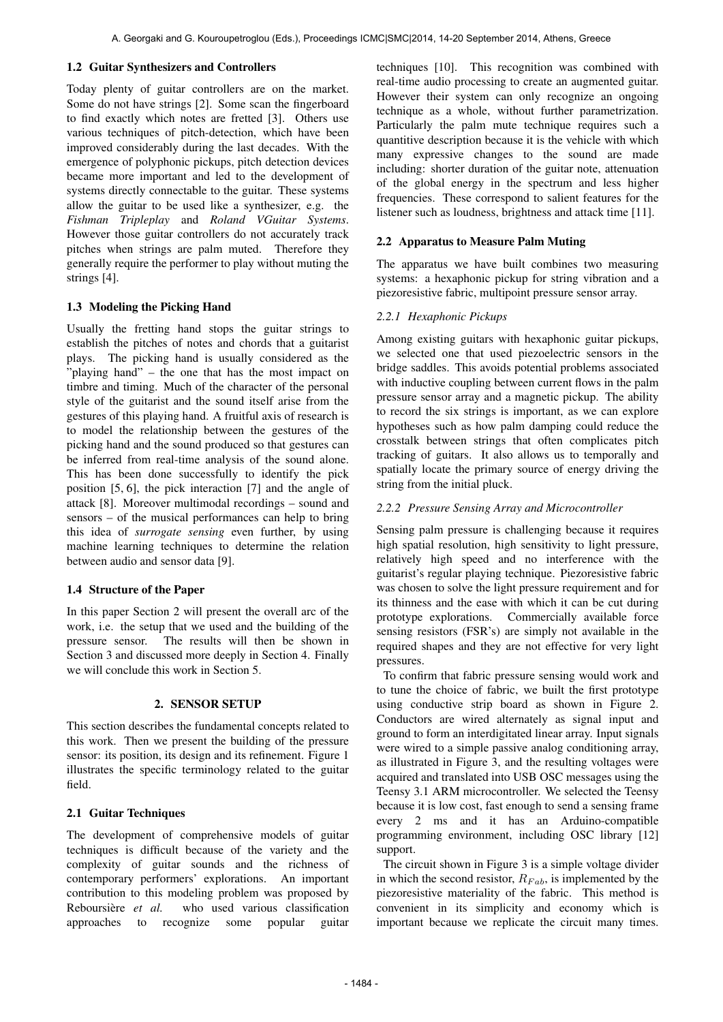### 1.2 Guitar Synthesizers and Controllers

Today plenty of guitar controllers are on the market. Some do not have strings [2]. Some scan the fingerboard to find exactly which notes are fretted [3]. Others use various techniques of pitch-detection, which have been improved considerably during the last decades. With the emergence of polyphonic pickups, pitch detection devices became more important and led to the development of systems directly connectable to the guitar. These systems allow the guitar to be used like a synthesizer, e.g. the *Fishman Tripleplay* and *Roland VGuitar Systems*. However those guitar controllers do not accurately track pitches when strings are palm muted. Therefore they generally require the performer to play without muting the strings [4].

# 1.3 Modeling the Picking Hand

Usually the fretting hand stops the guitar strings to establish the pitches of notes and chords that a guitarist plays. The picking hand is usually considered as the "playing hand" – the one that has the most impact on timbre and timing. Much of the character of the personal style of the guitarist and the sound itself arise from the gestures of this playing hand. A fruitful axis of research is to model the relationship between the gestures of the picking hand and the sound produced so that gestures can be inferred from real-time analysis of the sound alone. This has been done successfully to identify the pick position [5, 6], the pick interaction [7] and the angle of attack [8]. Moreover multimodal recordings – sound and sensors – of the musical performances can help to bring this idea of *surrogate sensing* even further, by using machine learning techniques to determine the relation between audio and sensor data [9].

# 1.4 Structure of the Paper

In this paper Section 2 will present the overall arc of the work, i.e. the setup that we used and the building of the pressure sensor. The results will then be shown in Section 3 and discussed more deeply in Section 4. Finally we will conclude this work in Section 5.

### 2. SENSOR SETUP

This section describes the fundamental concepts related to this work. Then we present the building of the pressure sensor: its position, its design and its refinement. Figure 1 illustrates the specific terminology related to the guitar field.

# 2.1 Guitar Techniques

The development of comprehensive models of guitar techniques is difficult because of the variety and the complexity of guitar sounds and the richness of contemporary performers' explorations. An important contribution to this modeling problem was proposed by Reboursière et al. who used various classification approaches to recognize some popular guitar

techniques [10]. This recognition was combined with real-time audio processing to create an augmented guitar. However their system can only recognize an ongoing technique as a whole, without further parametrization. Particularly the palm mute technique requires such a quantitive description because it is the vehicle with which many expressive changes to the sound are made including: shorter duration of the guitar note, attenuation of the global energy in the spectrum and less higher frequencies. These correspond to salient features for the listener such as loudness, brightness and attack time [11].

### 2.2 Apparatus to Measure Palm Muting

The apparatus we have built combines two measuring systems: a hexaphonic pickup for string vibration and a piezoresistive fabric, multipoint pressure sensor array.

# *2.2.1 Hexaphonic Pickups*

Among existing guitars with hexaphonic guitar pickups, we selected one that used piezoelectric sensors in the bridge saddles. This avoids potential problems associated with inductive coupling between current flows in the palm pressure sensor array and a magnetic pickup. The ability to record the six strings is important, as we can explore hypotheses such as how palm damping could reduce the crosstalk between strings that often complicates pitch tracking of guitars. It also allows us to temporally and spatially locate the primary source of energy driving the string from the initial pluck.

# *2.2.2 Pressure Sensing Array and Microcontroller*

Sensing palm pressure is challenging because it requires high spatial resolution, high sensitivity to light pressure, relatively high speed and no interference with the guitarist's regular playing technique. Piezoresistive fabric was chosen to solve the light pressure requirement and for its thinness and the ease with which it can be cut during prototype explorations. Commercially available force sensing resistors (FSR's) are simply not available in the required shapes and they are not effective for very light pressures.

To confirm that fabric pressure sensing would work and to tune the choice of fabric, we built the first prototype using conductive strip board as shown in Figure 2. Conductors are wired alternately as signal input and ground to form an interdigitated linear array. Input signals were wired to a simple passive analog conditioning array, as illustrated in Figure 3, and the resulting voltages were acquired and translated into USB OSC messages using the Teensy 3.1 ARM microcontroller. We selected the Teensy because it is low cost, fast enough to send a sensing frame every 2 ms and it has an Arduino-compatible programming environment, including OSC library [12] support.

The circuit shown in Figure 3 is a simple voltage divider in which the second resistor,  $R_{Fab}$ , is implemented by the piezoresistive materiality of the fabric. This method is convenient in its simplicity and economy which is important because we replicate the circuit many times.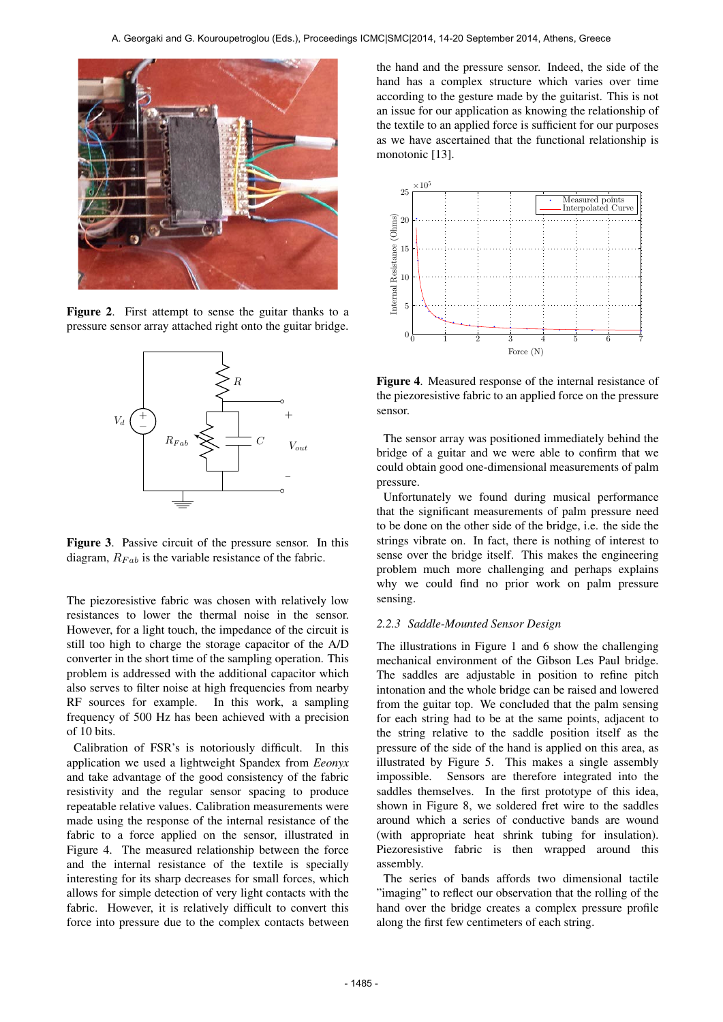

Figure 2. First attempt to sense the guitar thanks to a pressure sensor array attached right onto the guitar bridge.



Figure 3. Passive circuit of the pressure sensor. In this diagram,  $R_{Fab}$  is the variable resistance of the fabric.

The piezoresistive fabric was chosen with relatively low resistances to lower the thermal noise in the sensor. However, for a light touch, the impedance of the circuit is still too high to charge the storage capacitor of the A/D converter in the short time of the sampling operation. This problem is addressed with the additional capacitor which also serves to filter noise at high frequencies from nearby RF sources for example. In this work, a sampling frequency of 500 Hz has been achieved with a precision of 10 bits.

Calibration of FSR's is notoriously difficult. In this application we used a lightweight Spandex from *Eeonyx* and take advantage of the good consistency of the fabric resistivity and the regular sensor spacing to produce repeatable relative values. Calibration measurements were made using the response of the internal resistance of the fabric to a force applied on the sensor, illustrated in Figure 4. The measured relationship between the force and the internal resistance of the textile is specially interesting for its sharp decreases for small forces, which allows for simple detection of very light contacts with the fabric. However, it is relatively difficult to convert this force into pressure due to the complex contacts between the hand and the pressure sensor. Indeed, the side of the hand has a complex structure which varies over time according to the gesture made by the guitarist. This is not an issue for our application as knowing the relationship of the textile to an applied force is sufficient for our purposes as we have ascertained that the functional relationship is monotonic [13].



Figure 4. Measured response of the internal resistance of the piezoresistive fabric to an applied force on the pressure sensor.

The sensor array was positioned immediately behind the bridge of a guitar and we were able to confirm that we could obtain good one-dimensional measurements of palm pressure.

Unfortunately we found during musical performance that the significant measurements of palm pressure need to be done on the other side of the bridge, i.e. the side the strings vibrate on. In fact, there is nothing of interest to sense over the bridge itself. This makes the engineering problem much more challenging and perhaps explains why we could find no prior work on palm pressure sensing.

#### *2.2.3 Saddle-Mounted Sensor Design*

The illustrations in Figure 1 and 6 show the challenging mechanical environment of the Gibson Les Paul bridge. The saddles are adjustable in position to refine pitch intonation and the whole bridge can be raised and lowered from the guitar top. We concluded that the palm sensing for each string had to be at the same points, adjacent to the string relative to the saddle position itself as the pressure of the side of the hand is applied on this area, as illustrated by Figure 5. This makes a single assembly impossible. Sensors are therefore integrated into the saddles themselves. In the first prototype of this idea, shown in Figure 8, we soldered fret wire to the saddles around which a series of conductive bands are wound (with appropriate heat shrink tubing for insulation). Piezoresistive fabric is then wrapped around this assembly.

The series of bands affords two dimensional tactile "imaging" to reflect our observation that the rolling of the hand over the bridge creates a complex pressure profile along the first few centimeters of each string.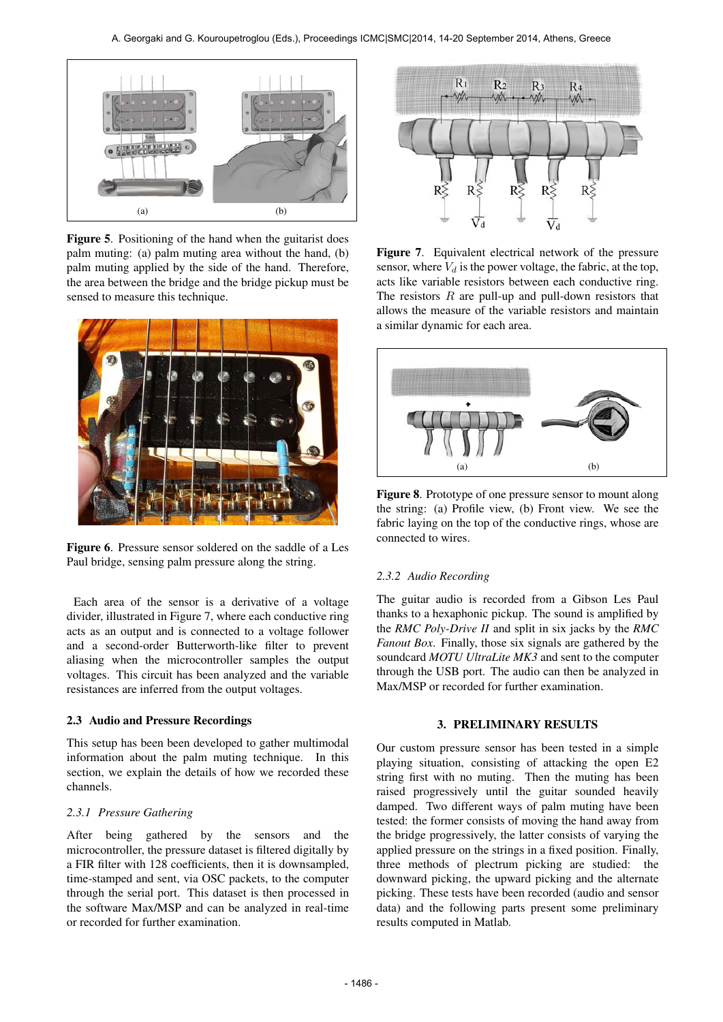

Figure 5. Positioning of the hand when the guitarist does palm muting: (a) palm muting area without the hand, (b) palm muting applied by the side of the hand. Therefore, the area between the bridge and the bridge pickup must be sensed to measure this technique.



Figure 6. Pressure sensor soldered on the saddle of a Les Paul bridge, sensing palm pressure along the string.

Each area of the sensor is a derivative of a voltage divider, illustrated in Figure 7, where each conductive ring acts as an output and is connected to a voltage follower and a second-order Butterworth-like filter to prevent aliasing when the microcontroller samples the output voltages. This circuit has been analyzed and the variable resistances are inferred from the output voltages.

# 2.3 Audio and Pressure Recordings

This setup has been been developed to gather multimodal information about the palm muting technique. In this section, we explain the details of how we recorded these channels.

### *2.3.1 Pressure Gathering*

After being gathered by the sensors and the microcontroller, the pressure dataset is filtered digitally by a FIR filter with 128 coefficients, then it is downsampled, time-stamped and sent, via OSC packets, to the computer through the serial port. This dataset is then processed in the software Max/MSP and can be analyzed in real-time or recorded for further examination.



Figure 7. Equivalent electrical network of the pressure sensor, where  $V_d$  is the power voltage, the fabric, at the top, acts like variable resistors between each conductive ring. The resistors  $R$  are pull-up and pull-down resistors that allows the measure of the variable resistors and maintain a similar dynamic for each area.



Figure 8. Prototype of one pressure sensor to mount along the string: (a) Profile view, (b) Front view. We see the fabric laying on the top of the conductive rings, whose are connected to wires.

# *2.3.2 Audio Recording*

The guitar audio is recorded from a Gibson Les Paul thanks to a hexaphonic pickup. The sound is amplified by the *RMC Poly-Drive II* and split in six jacks by the *RMC Fanout Box*. Finally, those six signals are gathered by the soundcard *MOTU UltraLite MK3* and sent to the computer through the USB port. The audio can then be analyzed in Max/MSP or recorded for further examination.

### 3. PRELIMINARY RESULTS

Our custom pressure sensor has been tested in a simple playing situation, consisting of attacking the open E2 string first with no muting. Then the muting has been raised progressively until the guitar sounded heavily damped. Two different ways of palm muting have been tested: the former consists of moving the hand away from the bridge progressively, the latter consists of varying the applied pressure on the strings in a fixed position. Finally, three methods of plectrum picking are studied: the downward picking, the upward picking and the alternate picking. These tests have been recorded (audio and sensor data) and the following parts present some preliminary results computed in Matlab.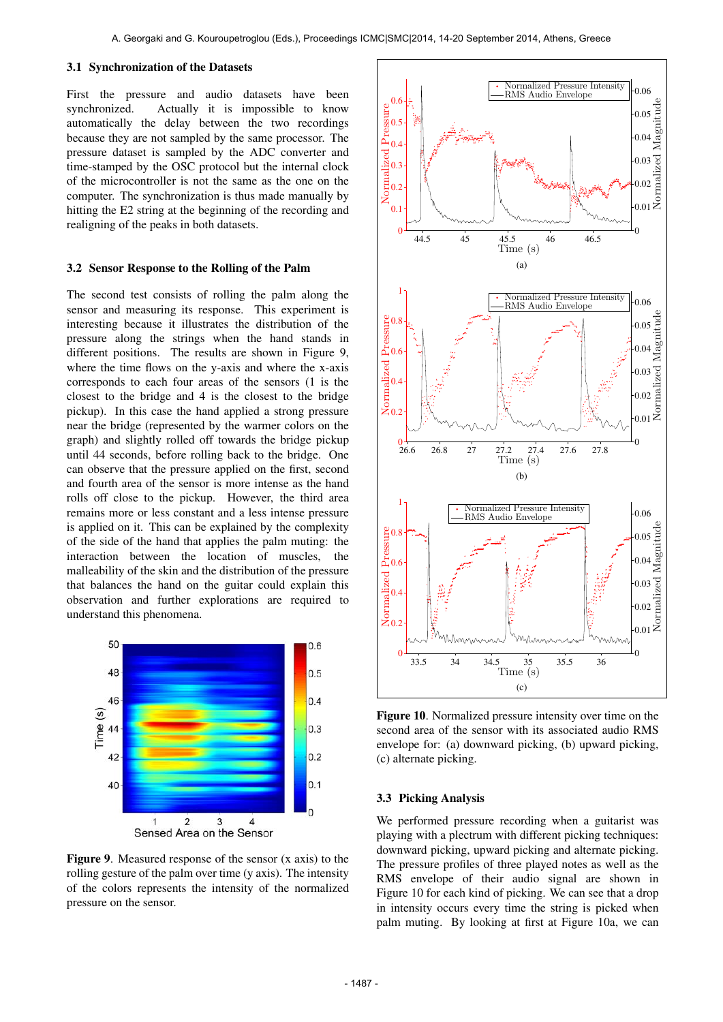#### 3.1 Synchronization of the Datasets

First the pressure and audio datasets have been synchronized. Actually it is impossible to know automatically the delay between the two recordings because they are not sampled by the same processor. The pressure dataset is sampled by the ADC converter and time-stamped by the OSC protocol but the internal clock of the microcontroller is not the same as the one on the computer. The synchronization is thus made manually by hitting the E2 string at the beginning of the recording and realigning of the peaks in both datasets.

#### 3.2 Sensor Response to the Rolling of the Palm

The second test consists of rolling the palm along the sensor and measuring its response. This experiment is interesting because it illustrates the distribution of the pressure along the strings when the hand stands in different positions. The results are shown in Figure 9. where the time flows on the y-axis and where the x-axis corresponds to each four areas of the sensors (1 is the closest to the bridge and 4 is the closest to the bridge pickup). In this case the hand applied a strong pressure near the bridge (represented by the warmer colors on the graph) and slightly rolled off towards the bridge pickup until 44 seconds, before rolling back to the bridge. One can observe that the pressure applied on the first, second and fourth area of the sensor is more intense as the hand rolls off close to the pickup. However, the third area remains more or less constant and a less intense pressure is applied on it. This can be explained by the complexity of the side of the hand that applies the palm muting: the interaction between the location of muscles, the malleability of the skin and the distribution of the pressure that balances the hand on the guitar could explain this observation and further explorations are required to understand this phenomena.



Figure 9. Measured response of the sensor (x axis) to the rolling gesture of the palm over time (y axis). The intensity of the colors represents the intensity of the normalized pressure on the sensor.



Figure 10. Normalized pressure intensity over time on the second area of the sensor with its associated audio RMS envelope for: (a) downward picking, (b) upward picking, (c) alternate picking.

#### 3.3 Picking Analysis

We performed pressure recording when a guitarist was playing with a plectrum with different picking techniques: downward picking, upward picking and alternate picking. The pressure profiles of three played notes as well as the RMS envelope of their audio signal are shown in Figure 10 for each kind of picking. We can see that a drop in intensity occurs every time the string is picked when palm muting. By looking at first at Figure 10a, we can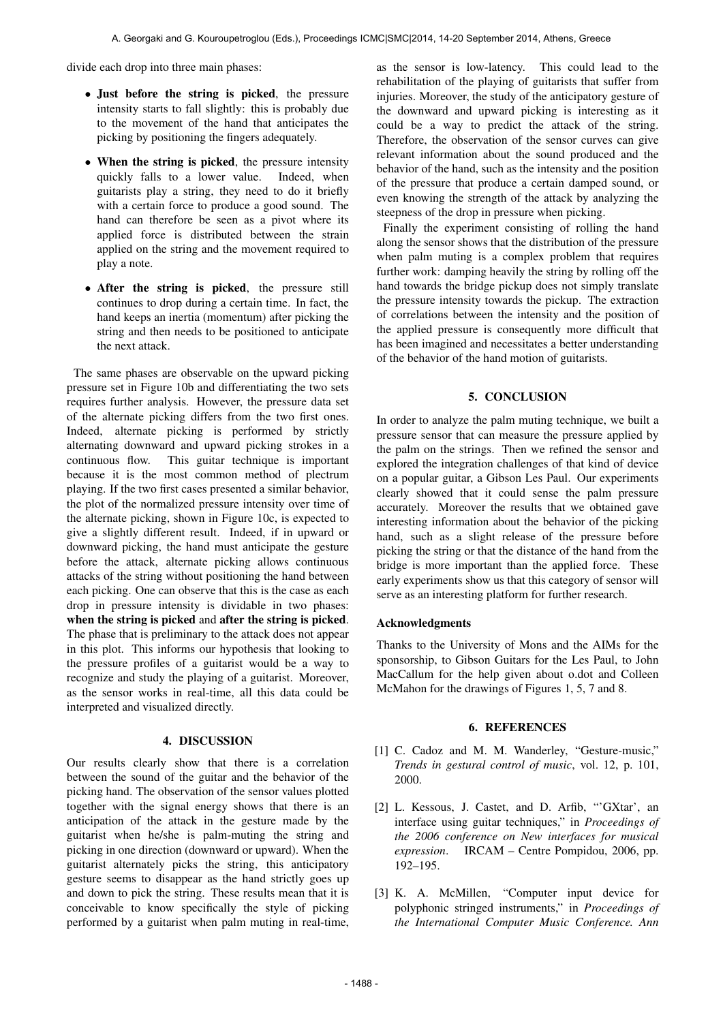divide each drop into three main phases:

- Just before the string is picked, the pressure intensity starts to fall slightly: this is probably due to the movement of the hand that anticipates the picking by positioning the fingers adequately.
- When the string is picked, the pressure intensity quickly falls to a lower value. Indeed, when guitarists play a string, they need to do it briefly with a certain force to produce a good sound. The hand can therefore be seen as a pivot where its applied force is distributed between the strain applied on the string and the movement required to play a note.
- After the string is picked, the pressure still continues to drop during a certain time. In fact, the hand keeps an inertia (momentum) after picking the string and then needs to be positioned to anticipate the next attack.

The same phases are observable on the upward picking pressure set in Figure 10b and differentiating the two sets requires further analysis. However, the pressure data set of the alternate picking differs from the two first ones. Indeed, alternate picking is performed by strictly alternating downward and upward picking strokes in a continuous flow. This guitar technique is important because it is the most common method of plectrum playing. If the two first cases presented a similar behavior, the plot of the normalized pressure intensity over time of the alternate picking, shown in Figure 10c, is expected to give a slightly different result. Indeed, if in upward or downward picking, the hand must anticipate the gesture before the attack, alternate picking allows continuous attacks of the string without positioning the hand between each picking. One can observe that this is the case as each drop in pressure intensity is dividable in two phases: when the string is picked and after the string is picked. The phase that is preliminary to the attack does not appear in this plot. This informs our hypothesis that looking to the pressure profiles of a guitarist would be a way to recognize and study the playing of a guitarist. Moreover, as the sensor works in real-time, all this data could be interpreted and visualized directly.

# 4. DISCUSSION

Our results clearly show that there is a correlation between the sound of the guitar and the behavior of the picking hand. The observation of the sensor values plotted together with the signal energy shows that there is an anticipation of the attack in the gesture made by the guitarist when he/she is palm-muting the string and picking in one direction (downward or upward). When the guitarist alternately picks the string, this anticipatory gesture seems to disappear as the hand strictly goes up and down to pick the string. These results mean that it is conceivable to know specifically the style of picking performed by a guitarist when palm muting in real-time,

as the sensor is low-latency. This could lead to the rehabilitation of the playing of guitarists that suffer from injuries. Moreover, the study of the anticipatory gesture of the downward and upward picking is interesting as it could be a way to predict the attack of the string. Therefore, the observation of the sensor curves can give relevant information about the sound produced and the behavior of the hand, such as the intensity and the position of the pressure that produce a certain damped sound, or even knowing the strength of the attack by analyzing the steepness of the drop in pressure when picking.

Finally the experiment consisting of rolling the hand along the sensor shows that the distribution of the pressure when palm muting is a complex problem that requires further work: damping heavily the string by rolling off the hand towards the bridge pickup does not simply translate the pressure intensity towards the pickup. The extraction of correlations between the intensity and the position of the applied pressure is consequently more difficult that has been imagined and necessitates a better understanding of the behavior of the hand motion of guitarists.

### 5. CONCLUSION

In order to analyze the palm muting technique, we built a pressure sensor that can measure the pressure applied by the palm on the strings. Then we refined the sensor and explored the integration challenges of that kind of device on a popular guitar, a Gibson Les Paul. Our experiments clearly showed that it could sense the palm pressure accurately. Moreover the results that we obtained gave interesting information about the behavior of the picking hand, such as a slight release of the pressure before picking the string or that the distance of the hand from the bridge is more important than the applied force. These early experiments show us that this category of sensor will serve as an interesting platform for further research.

### Acknowledgments

Thanks to the University of Mons and the AIMs for the sponsorship, to Gibson Guitars for the Les Paul, to John MacCallum for the help given about o.dot and Colleen McMahon for the drawings of Figures 1, 5, 7 and 8.

#### 6. REFERENCES

- [1] C. Cadoz and M. M. Wanderley, "Gesture-music," *Trends in gestural control of music*, vol. 12, p. 101, 2000.
- [2] L. Kessous, J. Castet, and D. Arfib, "GXtar', an interface using guitar techniques," in *Proceedings of the 2006 conference on New interfaces for musical expression*. IRCAM – Centre Pompidou, 2006, pp. 192–195.
- [3] K. A. McMillen, "Computer input device for polyphonic stringed instruments," in *Proceedings of the International Computer Music Conference. Ann*